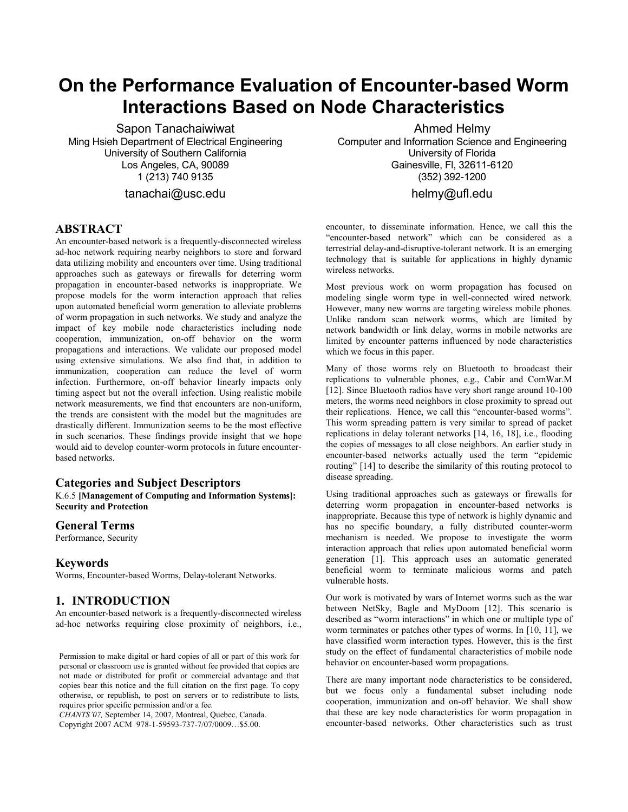# On the Performance Evaluation of Encounter-based Worm Interactions Based on Node Characteristics

Sapon Tanachaiwiwat Ming Hsieh Department of Electrical Engineering University of Southern California Los Angeles, CA, 90089 1 (213) 740 9135

tanachai@usc.edu

# ABSTRACT

An encounter-based network is a frequently-disconnected wireless ad-hoc network requiring nearby neighbors to store and forward data utilizing mobility and encounters over time. Using traditional approaches such as gateways or firewalls for deterring worm propagation in encounter-based networks is inappropriate. We propose models for the worm interaction approach that relies upon automated beneficial worm generation to alleviate problems of worm propagation in such networks. We study and analyze the impact of key mobile node characteristics including node cooperation, immunization, on-off behavior on the worm propagations and interactions. We validate our proposed model using extensive simulations. We also find that, in addition to immunization, cooperation can reduce the level of worm infection. Furthermore, on-off behavior linearly impacts only timing aspect but not the overall infection. Using realistic mobile network measurements, we find that encounters are non-uniform, the trends are consistent with the model but the magnitudes are drastically different. Immunization seems to be the most effective in such scenarios. These findings provide insight that we hope would aid to develop counter-worm protocols in future encounterbased networks.

# Categories and Subject Descriptors

K.6.5 [Management of Computing and Information Systems]: Security and Protection

# General Terms

Performance, Security

#### Keywords

Worms, Encounter-based Worms, Delay-tolerant Networks.

# 1. INTRODUCTION

An encounter-based network is a frequently-disconnected wireless ad-hoc networks requiring close proximity of neighbors, i.e.,

Permission to make digital or hard copies of all or part of this work for personal or classroom use is granted without fee provided that copies are not made or distributed for profit or commercial advantage and that copies bear this notice and the full citation on the first page. To copy otherwise, or republish, to post on servers or to redistribute to lists, requires prior specific permission and/or a fee.

CHANTS'07, September 14, 2007, Montreal, Quebec, Canada. Copyright 2007 ACM 978-1-59593-737-7/07/0009…\$5.00.

Ahmed Helmy Computer and Information Science and Engineering University of Florida Gainesville, Fl, 32611-6120 (352) 392-1200

helmy@ufl.edu

encounter, to disseminate information. Hence, we call this the "encounter-based network" which can be considered as a terrestrial delay-and-disruptive-tolerant network. It is an emerging technology that is suitable for applications in highly dynamic wireless networks.

Most previous work on worm propagation has focused on modeling single worm type in well-connected wired network. However, many new worms are targeting wireless mobile phones. Unlike random scan network worms, which are limited by network bandwidth or link delay, worms in mobile networks are limited by encounter patterns influenced by node characteristics which we focus in this paper.

Many of those worms rely on Bluetooth to broadcast their replications to vulnerable phones, e.g., Cabir and ComWar.M [12]. Since Bluetooth radios have very short range around 10-100 meters, the worms need neighbors in close proximity to spread out their replications. Hence, we call this "encounter-based worms". This worm spreading pattern is very similar to spread of packet replications in delay tolerant networks [14, 16, 18], i.e., flooding the copies of messages to all close neighbors. An earlier study in encounter-based networks actually used the term "epidemic routing" [14] to describe the similarity of this routing protocol to disease spreading.

Using traditional approaches such as gateways or firewalls for deterring worm propagation in encounter-based networks is inappropriate. Because this type of network is highly dynamic and has no specific boundary, a fully distributed counter-worm mechanism is needed. We propose to investigate the worm interaction approach that relies upon automated beneficial worm generation [1]. This approach uses an automatic generated beneficial worm to terminate malicious worms and patch vulnerable hosts.

Our work is motivated by wars of Internet worms such as the war between NetSky, Bagle and MyDoom [12]. This scenario is described as "worm interactions" in which one or multiple type of worm terminates or patches other types of worms. In [10, 11], we have classified worm interaction types. However, this is the first study on the effect of fundamental characteristics of mobile node behavior on encounter-based worm propagations.

There are many important node characteristics to be considered, but we focus only a fundamental subset including node cooperation, immunization and on-off behavior. We shall show that these are key node characteristics for worm propagation in encounter-based networks. Other characteristics such as trust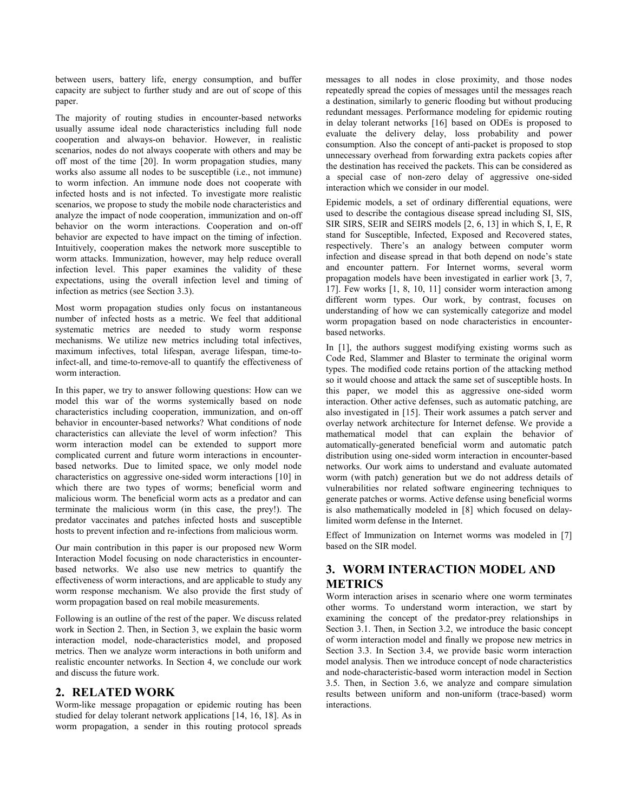between users, battery life, energy consumption, and buffer capacity are subject to further study and are out of scope of this paper.

The majority of routing studies in encounter-based networks usually assume ideal node characteristics including full node cooperation and always-on behavior. However, in realistic scenarios, nodes do not always cooperate with others and may be off most of the time [20]. In worm propagation studies, many works also assume all nodes to be susceptible (i.e., not immune) to worm infection. An immune node does not cooperate with infected hosts and is not infected. To investigate more realistic scenarios, we propose to study the mobile node characteristics and analyze the impact of node cooperation, immunization and on-off behavior on the worm interactions. Cooperation and on-off behavior are expected to have impact on the timing of infection. Intuitively, cooperation makes the network more susceptible to worm attacks. Immunization, however, may help reduce overall infection level. This paper examines the validity of these expectations, using the overall infection level and timing of infection as metrics (see Section 3.3).

Most worm propagation studies only focus on instantaneous number of infected hosts as a metric. We feel that additional systematic metrics are needed to study worm response mechanisms. We utilize new metrics including total infectives, maximum infectives, total lifespan, average lifespan, time-toinfect-all, and time-to-remove-all to quantify the effectiveness of worm interaction.

In this paper, we try to answer following questions: How can we model this war of the worms systemically based on node characteristics including cooperation, immunization, and on-off behavior in encounter-based networks? What conditions of node characteristics can alleviate the level of worm infection? This worm interaction model can be extended to support more complicated current and future worm interactions in encounterbased networks. Due to limited space, we only model node characteristics on aggressive one-sided worm interactions [10] in which there are two types of worms; beneficial worm and malicious worm. The beneficial worm acts as a predator and can terminate the malicious worm (in this case, the prey!). The predator vaccinates and patches infected hosts and susceptible hosts to prevent infection and re-infections from malicious worm.

Our main contribution in this paper is our proposed new Worm Interaction Model focusing on node characteristics in encounterbased networks. We also use new metrics to quantify the effectiveness of worm interactions, and are applicable to study any worm response mechanism. We also provide the first study of worm propagation based on real mobile measurements.

Following is an outline of the rest of the paper. We discuss related work in Section 2. Then, in Section 3, we explain the basic worm interaction model, node-characteristics model, and proposed metrics. Then we analyze worm interactions in both uniform and realistic encounter networks. In Section 4, we conclude our work and discuss the future work.

# 2. RELATED WORK

Worm-like message propagation or epidemic routing has been studied for delay tolerant network applications [14, 16, 18]. As in worm propagation, a sender in this routing protocol spreads

messages to all nodes in close proximity, and those nodes repeatedly spread the copies of messages until the messages reach a destination, similarly to generic flooding but without producing redundant messages. Performance modeling for epidemic routing in delay tolerant networks [16] based on ODEs is proposed to evaluate the delivery delay, loss probability and power consumption. Also the concept of anti-packet is proposed to stop unnecessary overhead from forwarding extra packets copies after the destination has received the packets. This can be considered as a special case of non-zero delay of aggressive one-sided interaction which we consider in our model.

Epidemic models, a set of ordinary differential equations, were used to describe the contagious disease spread including SI, SIS, SIR SIRS, SEIR and SEIRS models [2, 6, 13] in which S, I, E, R stand for Susceptible, Infected, Exposed and Recovered states, respectively. There's an analogy between computer worm infection and disease spread in that both depend on node's state and encounter pattern. For Internet worms, several worm propagation models have been investigated in earlier work [3, 7, 17]. Few works [1, 8, 10, 11] consider worm interaction among different worm types. Our work, by contrast, focuses on understanding of how we can systemically categorize and model worm propagation based on node characteristics in encounterbased networks.

In [1], the authors suggest modifying existing worms such as Code Red, Slammer and Blaster to terminate the original worm types. The modified code retains portion of the attacking method so it would choose and attack the same set of susceptible hosts. In this paper, we model this as aggressive one-sided worm interaction. Other active defenses, such as automatic patching, are also investigated in [15]. Their work assumes a patch server and overlay network architecture for Internet defense. We provide a mathematical model that can explain the behavior of automatically-generated beneficial worm and automatic patch distribution using one-sided worm interaction in encounter-based networks. Our work aims to understand and evaluate automated worm (with patch) generation but we do not address details of vulnerabilities nor related software engineering techniques to generate patches or worms. Active defense using beneficial worms is also mathematically modeled in [8] which focused on delaylimited worm defense in the Internet.

Effect of Immunization on Internet worms was modeled in [7] based on the SIR model.

# 3. WORM INTERACTION MODEL AND METRICS

Worm interaction arises in scenario where one worm terminates other worms. To understand worm interaction, we start by examining the concept of the predator-prey relationships in Section 3.1. Then, in Section 3.2, we introduce the basic concept of worm interaction model and finally we propose new metrics in Section 3.3. In Section 3.4, we provide basic worm interaction model analysis. Then we introduce concept of node characteristics and node-characteristic-based worm interaction model in Section 3.5. Then, in Section 3.6, we analyze and compare simulation results between uniform and non-uniform (trace-based) worm interactions.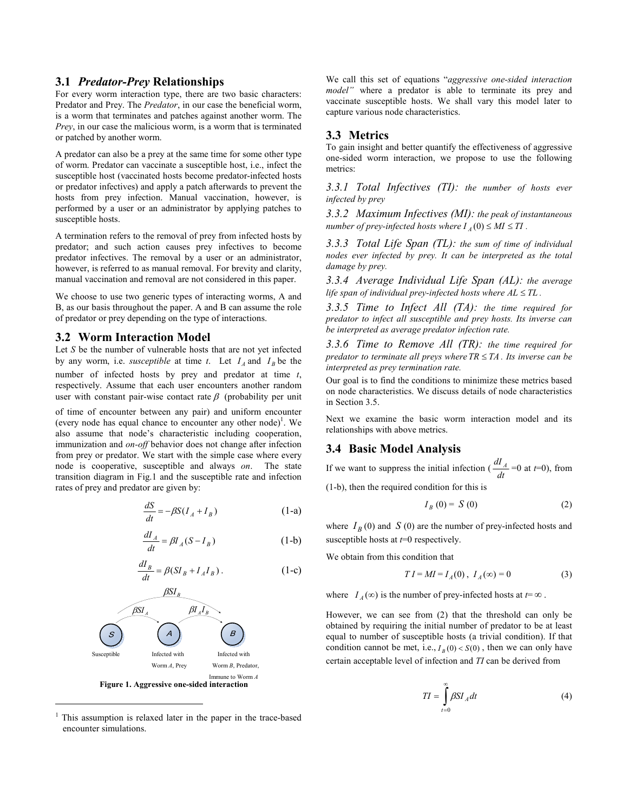#### 3.1 Predator-Prey Relationships

For every worm interaction type, there are two basic characters: Predator and Prey. The Predator, in our case the beneficial worm, is a worm that terminates and patches against another worm. The Prey, in our case the malicious worm, is a worm that is terminated or patched by another worm.

A predator can also be a prey at the same time for some other type of worm. Predator can vaccinate a susceptible host, i.e., infect the susceptible host (vaccinated hosts become predator-infected hosts or predator infectives) and apply a patch afterwards to prevent the hosts from prey infection. Manual vaccination, however, is performed by a user or an administrator by applying patches to susceptible hosts.

A termination refers to the removal of prey from infected hosts by predator; and such action causes prey infectives to become predator infectives. The removal by a user or an administrator, however, is referred to as manual removal. For brevity and clarity, manual vaccination and removal are not considered in this paper.

We choose to use two generic types of interacting worms, A and B, as our basis throughout the paper. A and B can assume the role of predator or prey depending on the type of interactions.

#### 3.2 Worm Interaction Model

Let S be the number of vulnerable hosts that are not yet infected by any worm, i.e. *susceptible* at time t. Let  $I_A$  and  $I_B$  be the number of infected hosts by prey and predator at time  $t$ , respectively. Assume that each user encounters another random user with constant pair-wise contact rate  $\beta$  (probability per unit

of time of encounter between any pair) and uniform encounter (every node has equal chance to encounter any other node)<sup>1</sup>. We also assume that node's characteristic including cooperation, immunization and on-off behavior does not change after infection from prey or predator. We start with the simple case where every node is cooperative, susceptible and always on. The state transition diagram in Fig.1 and the susceptible rate and infection rates of prey and predator are given by:

$$
\frac{dS}{dt} = -\beta S(I_A + I_B)
$$
 (1-a)

$$
\frac{dI_A}{dt} = \beta I_A (S - I_B)
$$
 (1-b)

$$
\frac{dI_B}{dt} = \beta (SI_B + I_A I_B). \tag{1-c}
$$



1 This assumption is relaxed later in the paper in the trace-based encounter simulations.

j

We call this set of equations "aggressive one-sided interaction model" where a predator is able to terminate its prey and vaccinate susceptible hosts. We shall vary this model later to capture various node characteristics.

### 3.3 Metrics

To gain insight and better quantify the effectiveness of aggressive one-sided worm interaction, we propose to use the following metrics:

3.3.1 Total Infectives (TI): the number of hosts ever infected by prey

3.3.2 Maximum Infectives (MI): the peak of instantaneous number of prey-infected hosts where  $I_A(0) \leq MI \leq TI$ .

3.3.3 Total Life Span (TL): the sum of time of individual nodes ever infected by prey. It can be interpreted as the total damage by prey.

3.3.4 Average Individual Life Span (AL): the average life span of individual prey-infected hosts where  $AL \leq TL$ .

3.3.5 Time to Infect All  $(TA)$ : the time required for predator to infect all susceptible and prey hosts. Its inverse can be interpreted as average predator infection rate.

3.3.6 Time to Remove All  $(TR)$ : the time required for predator to terminate all preys where  $TR \leq TA$ . Its inverse can be interpreted as prey termination rate.

Our goal is to find the conditions to minimize these metrics based on node characteristics. We discuss details of node characteristics in Section 3.5.

Next we examine the basic worm interaction model and its relationships with above metrics.

#### 3.4 Basic Model Analysis

If we want to suppress the initial infection  $\left(\frac{d\mathbf{u}}{dt}\right)$  $\frac{dI_A}{dt}$  =0 at t=0), from

(1-b), then the required condition for this is

$$
I_B(0) = S(0)
$$
 (2)

where  $I_B(0)$  and  $S(0)$  are the number of prey-infected hosts and susceptible hosts at  $t=0$  respectively.

We obtain from this condition that

$$
TI = MI = I_A(0), I_A(\infty) = 0
$$
 (3)

where  $I_A(\infty)$  is the number of prey-infected hosts at  $t=\infty$ .

However, we can see from (2) that the threshold can only be obtained by requiring the initial number of predator to be at least equal to number of susceptible hosts (a trivial condition). If that condition cannot be met, i.e.,  $I_B(0) < S(0)$ , then we can only have certain acceptable level of infection and TI can be derived from

$$
TI = \int_{t=0}^{\infty} \beta SI_A dt
$$
 (4)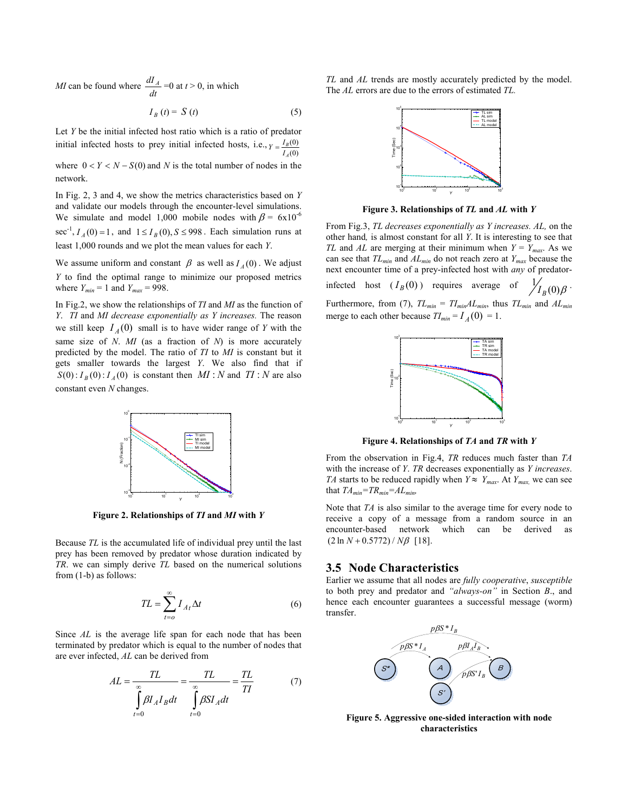*MI* can be found where  $\frac{du}{dt}$  $\frac{dI_A}{dt}$  =0 at  $t > 0$ , in which

$$
I_B(t) = S(t) \tag{5}
$$

Let  $Y$  be the initial infected host ratio which is a ratio of predator initial infected hosts to prey initial infected hosts, i.e.,  $Y = \frac{I_B(0)}{I_A(0)}$  $\scriptstyle{(0)}$ A  $\frac{I_B}{I_A}$  $Y=\frac{I}{I}$ 

where  $0 < Y < N - S(0)$  and N is the total number of nodes in the network.

In Fig. 2, 3 and 4, we show the metrics characteristics based on Y and validate our models through the encounter-level simulations. We simulate and model 1,000 mobile nodes with  $\beta = 6x10^{-6}$ sec<sup>-1</sup>,  $I_A(0) = 1$ , and  $1 \le I_B(0)$ ,  $S \le 998$ . Each simulation runs at least 1,000 rounds and we plot the mean values for each Y.

We assume uniform and constant  $\beta$  as well as  $I_A(0)$ . We adjust Y to find the optimal range to minimize our proposed metrics where  $Y_{min} = 1$  and  $Y_{max} = 998$ .

In Fig.2, we show the relationships of  $TI$  and  $MI$  as the function of Y. TI and MI decrease exponentially as Y increases. The reason we still keep  $I_A(0)$  small is to have wider range of Y with the same size of  $N$ . MI (as a fraction of  $N$ ) is more accurately predicted by the model. The ratio of TI to MI is constant but it gets smaller towards the largest Y. We also find that if  $S(0)$ :  $I_B(0)$ :  $I_A(0)$  is constant then MI : N and TI : N are also constant even N changes.



Figure 2. Relationships of TI and MI with Y

Because TL is the accumulated life of individual prey until the last prey has been removed by predator whose duration indicated by TR. we can simply derive TL based on the numerical solutions from (1-b) as follows:

$$
TL = \sum_{t=0}^{\infty} I_{At} \Delta t \tag{6}
$$

Since AL is the average life span for each node that has been terminated by predator which is equal to the number of nodes that are ever infected, AL can be derived from

$$
AL = \frac{TL}{\int_{t=0}^{\infty} \beta I_A I_B dt} = \frac{TL}{\int_{t=0}^{\infty} \beta SI_A dt} = \frac{TL}{TI}
$$
(7)

TL and AL trends are mostly accurately predicted by the model. The AL errors are due to the errors of estimated TL.



Figure 3. Relationships of TL and AL with Y

From Fig.3, TL decreases exponentially as Y increases. AL, on the other hand, is almost constant for all Y. It is interesting to see that TL and AL are merging at their minimum when  $Y = Y_{max}$ . As we can see that  $TL_{min}$  and  $AL_{min}$  do not reach zero at  $Y_{max}$  because the next encounter time of a prey-infected host with any of predatorinfected host  $(I_B(0))$  requires average of  $\frac{1}{I_B(0)}$  $I_B$ . Furthermore, from (7),  $TL_{min} = TI_{min}AL_{min}$ , thus  $TL_{min}$  and  $AL_{min}$ merge to each other because  $TI_{min} = I_A(0) = 1$ .



Figure 4. Relationships of TA and TR with Y

From the observation in Fig.4, TR reduces much faster than TA with the increase of Y. TR decreases exponentially as Y increases. TA starts to be reduced rapidly when  $Y \approx Y_{max}$ . At  $Y_{max}$ , we can see that  $TA_{min} = TR_{min} = AL_{min}$ ,

Note that TA is also similar to the average time for every node to receive a copy of a message from a random source in an encounter-based network which can be derived as  $(2 \ln N + 0.5772) / N\beta$  [18].

#### 3.5 Node Characteristics

Earlier we assume that all nodes are fully cooperative, susceptible to both prey and predator and "always-on" in Section B., and hence each encounter guarantees a successful message (worm) transfer.



Figure 5. Aggressive one-sided interaction with node characteristics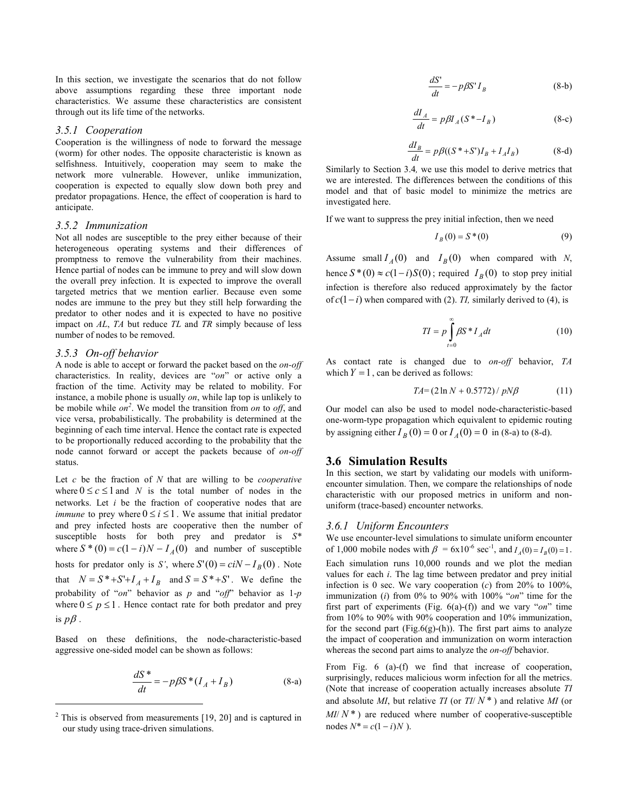In this section, we investigate the scenarios that do not follow above assumptions regarding these three important node characteristics. We assume these characteristics are consistent through out its life time of the networks.

#### 3.5.1 Cooperation

Cooperation is the willingness of node to forward the message (worm) for other nodes. The opposite characteristic is known as selfishness. Intuitively, cooperation may seem to make the network more vulnerable. However, unlike immunization, cooperation is expected to equally slow down both prey and predator propagations. Hence, the effect of cooperation is hard to anticipate.

#### 3.5.2 Immunization

Not all nodes are susceptible to the prey either because of their heterogeneous operating systems and their differences of promptness to remove the vulnerability from their machines. Hence partial of nodes can be immune to prey and will slow down the overall prey infection. It is expected to improve the overall targeted metrics that we mention earlier. Because even some nodes are immune to the prey but they still help forwarding the predator to other nodes and it is expected to have no positive impact on  $AL$ ,  $TA$  but reduce  $TL$  and  $TR$  simply because of less number of nodes to be removed.

#### 3.5.3 On-off behavior

j

A node is able to accept or forward the packet based on the on-off characteristics. In reality, devices are "on" or active only a fraction of the time. Activity may be related to mobility. For instance, a mobile phone is usually on, while lap top is unlikely to be mobile while  $\omega n^2$ . We model the transition from on to off, and vice versa, probabilistically. The probability is determined at the beginning of each time interval. Hence the contact rate is expected to be proportionally reduced according to the probability that the node cannot forward or accept the packets because of on-off status.

Let  $c$  be the fraction of  $N$  that are willing to be *cooperative* where  $0 \le c \le 1$  and N is the total number of nodes in the networks. Let  $i$  be the fraction of cooperative nodes that are *immune* to prey where  $0 \le i \le 1$ . We assume that initial predator and prey infected hosts are cooperative then the number of susceptible hosts for both prey and predator is  $S^*$ where  $S^*(0) = c(1 - i)N - I_A(0)$  and number of susceptible hosts for predator only is S', where  $S'(0) = \frac{c}{N} - I_B(0)$ . Note that  $N = S^* + S' + I_A + I_B$  and  $S = S^* + S'$ . We define the probability of "on" behavior as p and "off" behavior as  $1-p$ where  $0 \le p \le 1$ . Hence contact rate for both predator and prey is  $p\beta$ .

Based on these definitions, the node-characteristic-based aggressive one-sided model can be shown as follows:

$$
\frac{dS^*}{dt} = -p\beta S^*(I_A + I_B)
$$
 (8-a)

$$
\frac{dS'}{dt} = -p\beta S'I_B \tag{8-b}
$$

$$
\frac{dI_A}{dt} = p\beta I_A (S^* - I_B)
$$
 (8-c)

$$
\frac{dI_B}{dt} = p\beta((S^* + S')I_B + I_A I_B)
$$
 (8-d)

Similarly to Section 3.4, we use this model to derive metrics that we are interested. The differences between the conditions of this model and that of basic model to minimize the metrics are investigated here.

If we want to suppress the prey initial infection, then we need

$$
I_B(0) = S^*(0)
$$
 (9)

Assume small  $I_A(0)$  and  $I_B(0)$  when compared with N, hence  $S^*(0) \approx c(1-i)S(0)$ ; required  $I_B(0)$  to stop prey initial infection is therefore also reduced approximately by the factor of  $c(1 - i)$  when compared with (2). TI, similarly derived to (4), is

$$
TI = p \int_{t=0}^{\infty} \beta S^* I_A dt
$$
 (10)

As contact rate is changed due to on-off behavior, TA which  $Y = 1$ , can be derived as follows:

$$
TA = (2 \ln N + 0.5772) / pN\beta \tag{11}
$$

Our model can also be used to model node-characteristic-based one-worm-type propagation which equivalent to epidemic routing by assigning either  $I_B(0) = 0$  or  $I_A(0) = 0$  in (8-a) to (8-d).

# 3.6 Simulation Results

In this section, we start by validating our models with uniformencounter simulation. Then, we compare the relationships of node characteristic with our proposed metrics in uniform and nonuniform (trace-based) encounter networks.

### 3.6.1 Uniform Encounters

We use encounter-level simulations to simulate uniform encounter of 1,000 mobile nodes with  $\beta = 6x10^{-6}$  sec<sup>-1</sup>, and  $I_A(0) = I_B(0) = 1$ . Each simulation runs 10,000 rounds and we plot the median values for each i. The lag time between predator and prey initial infection is 0 sec. We vary cooperation  $(c)$  from 20% to 100%, immunization (i) from  $0\%$  to  $90\%$  with  $100\%$  "on" time for the first part of experiments (Fig.  $6(a)-(f)$ ) and we vary "*on*" time from 10% to 90% with 90% cooperation and 10% immunization, for the second part (Fig.6(g)-(h)). The first part aims to analyze the impact of cooperation and immunization on worm interaction whereas the second part aims to analyze the *on-off* behavior.

From Fig. 6 (a)-(f) we find that increase of cooperation, surprisingly, reduces malicious worm infection for all the metrics. (Note that increase of cooperation actually increases absolute TI and absolute MI, but relative TI (or TI/ $N^*$ ) and relative MI (or  $MI/N^*$ ) are reduced where number of cooperative-susceptible nodes  $N^* = c(1 - i)N$ ).

<sup>2</sup> This is observed from measurements [19, 20] and is captured in our study using trace-driven simulations.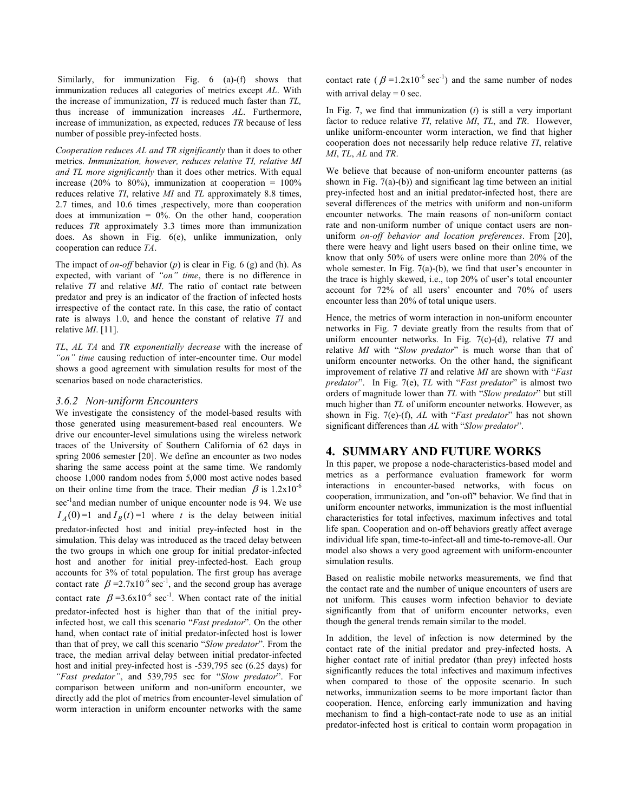Similarly, for immunization Fig. 6 (a)-(f) shows that immunization reduces all categories of metrics except AL. With the increase of immunization, TI is reduced much faster than TL, thus increase of immunization increases AL. Furthermore, increase of immunization, as expected, reduces TR because of less number of possible prey-infected hosts.

Cooperation reduces AL and TR significantly than it does to other metrics. Immunization, however, reduces relative TI, relative MI and TL more significantly than it does other metrics. With equal increase (20% to 80%), immunization at cooperation =  $100\%$ reduces relative TI, relative MI and TL approximately 8.8 times, 2.7 times, and 10.6 times , respectively, more than cooperation does at immunization  $= 0\%$ . On the other hand, cooperation reduces TR approximately 3.3 times more than immunization does. As shown in Fig. 6(e), unlike immunization, only cooperation can reduce TA.

The impact of *on-off* behavior  $(p)$  is clear in Fig. 6  $(g)$  and  $(h)$ . As expected, with variant of "on" time, there is no difference in relative TI and relative MI. The ratio of contact rate between predator and prey is an indicator of the fraction of infected hosts irrespective of the contact rate. In this case, the ratio of contact rate is always 1.0, and hence the constant of relative TI and relative MI. [11].

TL, AL TA and TR exponentially decrease with the increase of "on" time causing reduction of inter-encounter time. Our model shows a good agreement with simulation results for most of the scenarios based on node characteristics.

#### 3.6.2 Non-uniform Encounters

We investigate the consistency of the model-based results with those generated using measurement-based real encounters. We drive our encounter-level simulations using the wireless network traces of the University of Southern California of 62 days in spring 2006 semester [20]. We define an encounter as two nodes sharing the same access point at the same time. We randomly choose 1,000 random nodes from 5,000 most active nodes based on their online time from the trace. Their median  $\beta$  is 1.2x10<sup>-6</sup> sec<sup>-1</sup>and median number of unique encounter node is 94. We use  $I_A(0)=1$  and  $I_B(t)=1$  where t is the delay between initial predator-infected host and initial prey-infected host in the simulation. This delay was introduced as the traced delay between the two groups in which one group for initial predator-infected host and another for initial prey-infected-host. Each group accounts for 3% of total population. The first group has average contact rate  $\beta = 2.7 \times 10^{-6}$  sec<sup>-1</sup>, and the second group has average contact rate  $\beta = 3.6x10^{-6}$  sec<sup>-1</sup>. When contact rate of the initial predator-infected host is higher than that of the initial preyinfected host, we call this scenario "Fast predator". On the other hand, when contact rate of initial predator-infected host is lower than that of prey, we call this scenario "Slow predator". From the trace, the median arrival delay between initial predator-infected host and initial prey-infected host is -539,795 sec (6.25 days) for "Fast predator", and 539,795 sec for "Slow predator". For comparison between uniform and non-uniform encounter, we directly add the plot of metrics from encounter-level simulation of worm interaction in uniform encounter networks with the same

contact rate ( $\beta = 1.2x10^{-6}$  sec<sup>-1</sup>) and the same number of nodes with arrival delay  $= 0$  sec.

In Fig. 7, we find that immunization  $(i)$  is still a very important factor to reduce relative TI, relative MI, TL, and TR. However, unlike uniform-encounter worm interaction, we find that higher cooperation does not necessarily help reduce relative TI, relative MI, TL, AL and TR.

We believe that because of non-uniform encounter patterns (as shown in Fig. 7(a)-(b)) and significant lag time between an initial prey-infected host and an initial predator-infected host, there are several differences of the metrics with uniform and non-uniform encounter networks. The main reasons of non-uniform contact rate and non-uniform number of unique contact users are nonuniform on-off behavior and location preferences. From [20], there were heavy and light users based on their online time, we know that only 50% of users were online more than 20% of the whole semester. In Fig. 7(a)-(b), we find that user's encounter in the trace is highly skewed, i.e., top 20% of user's total encounter account for 72% of all users' encounter and 70% of users encounter less than 20% of total unique users.

Hence, the metrics of worm interaction in non-uniform encounter networks in Fig. 7 deviate greatly from the results from that of uniform encounter networks. In Fig.  $7(c)-(d)$ , relative TI and relative MI with "Slow predator" is much worse than that of uniform encounter networks. On the other hand, the significant improvement of relative TI and relative MI are shown with "Fast predator". In Fig. 7(e), TL with "Fast predator" is almost two orders of magnitude lower than TL with "Slow predator" but still much higher than TL of uniform encounter networks. However, as shown in Fig. 7(e)-(f), AL with "Fast predator" has not shown significant differences than AL with "Slow predator".

# 4. SUMMARY AND FUTURE WORKS

In this paper, we propose a node-characteristics-based model and metrics as a performance evaluation framework for worm interactions in encounter-based networks, with focus on cooperation, immunization, and "on-off" behavior. We find that in uniform encounter networks, immunization is the most influential characteristics for total infectives, maximum infectives and total life span. Cooperation and on-off behaviors greatly affect average individual life span, time-to-infect-all and time-to-remove-all. Our model also shows a very good agreement with uniform-encounter simulation results.

Based on realistic mobile networks measurements, we find that the contact rate and the number of unique encounters of users are not uniform. This causes worm infection behavior to deviate significantly from that of uniform encounter networks, even though the general trends remain similar to the model.

In addition, the level of infection is now determined by the contact rate of the initial predator and prey-infected hosts. A higher contact rate of initial predator (than prey) infected hosts significantly reduces the total infectives and maximum infectives when compared to those of the opposite scenario. In such networks, immunization seems to be more important factor than cooperation. Hence, enforcing early immunization and having mechanism to find a high-contact-rate node to use as an initial predator-infected host is critical to contain worm propagation in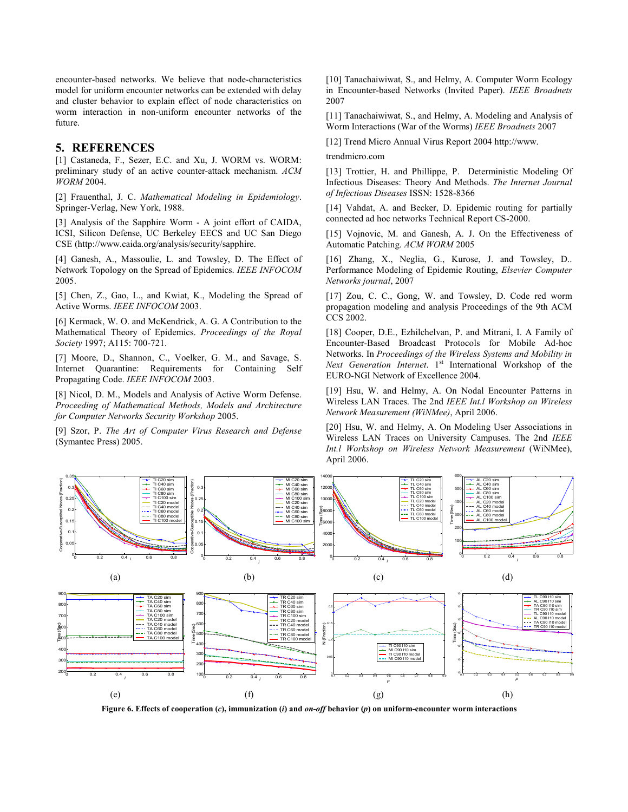encounter-based networks. We believe that node-characteristics model for uniform encounter networks can be extended with delay and cluster behavior to explain effect of node characteristics on worm interaction in non-uniform encounter networks of the future.

## 5. REFERENCES

[1] Castaneda, F., Sezer, E.C. and Xu, J. WORM vs. WORM: preliminary study of an active counter-attack mechanism. ACM WORM 2004.

[2] Frauenthal, J. C. Mathematical Modeling in Epidemiology. Springer-Verlag, New York, 1988.

[3] Analysis of the Sapphire Worm - A joint effort of CAIDA, ICSI, Silicon Defense, UC Berkeley EECS and UC San Diego CSE (http://www.caida.org/analysis/security/sapphire.

[4] Ganesh, A., Massoulie, L. and Towsley, D. The Effect of Network Topology on the Spread of Epidemics. IEEE INFOCOM 2005.

[5] Chen, Z., Gao, L., and Kwiat, K., Modeling the Spread of Active Worms. IEEE INFOCOM 2003.

[6] Kermack, W. O. and McKendrick, A. G. A Contribution to the Mathematical Theory of Epidemics. Proceedings of the Royal Society 1997; A115: 700-721.

[7] Moore, D., Shannon, C., Voelker, G. M., and Savage, S. Internet Quarantine: Requirements for Containing Self Propagating Code. IEEE INFOCOM 2003.

[8] Nicol, D. M., Models and Analysis of Active Worm Defense. Proceeding of Mathematical Methods, Models and Architecture for Computer Networks Security Workshop 2005.

[9] Szor, P. The Art of Computer Virus Research and Defense (Symantec Press) 2005.

[10] Tanachaiwiwat, S., and Helmy, A. Computer Worm Ecology in Encounter-based Networks (Invited Paper). IEEE Broadnets 2007

[11] Tanachaiwiwat, S., and Helmy, A. Modeling and Analysis of Worm Interactions (War of the Worms) IEEE Broadnets 2007

[12] Trend Micro Annual Virus Report 2004 http://www.

trendmicro.com

[13] Trottier, H. and Phillippe, P. Deterministic Modeling Of Infectious Diseases: Theory And Methods. The Internet Journal of Infectious Diseases ISSN: 1528-8366

[14] Vahdat, A. and Becker, D. Epidemic routing for partially connected ad hoc networks Technical Report CS-2000.

[15] Vojnovic, M. and Ganesh, A. J. On the Effectiveness of Automatic Patching. ACM WORM 2005

[16] Zhang, X., Neglia, G., Kurose, J. and Towsley, D.. Performance Modeling of Epidemic Routing, Elsevier Computer Networks journal, 2007

[17] Zou, C. C., Gong, W. and Towsley, D. Code red worm propagation modeling and analysis Proceedings of the 9th ACM CCS 2002.

[18] Cooper, D.E., Ezhilchelvan, P. and Mitrani, I. A Family of Encounter-Based Broadcast Protocols for Mobile Ad-hoc Networks. In Proceedings of the Wireless Systems and Mobility in Next Generation Internet. 1<sup>st</sup> International Workshop of the EURO-NGI Network of Excellence 2004.

[19] Hsu, W. and Helmy, A. On Nodal Encounter Patterns in Wireless LAN Traces. The 2nd IEEE Int.l Workshop on Wireless Network Measurement (WiNMee), April 2006.

[20] Hsu, W. and Helmy, A. On Modeling User Associations in Wireless LAN Traces on University Campuses. The 2nd IEEE Int.l Workshop on Wireless Network Measurement (WiNMee), April 2006.



Figure 6. Effects of cooperation  $(c)$ , immunization  $(i)$  and on-off behavior  $(p)$  on uniform-encounter worm interactions